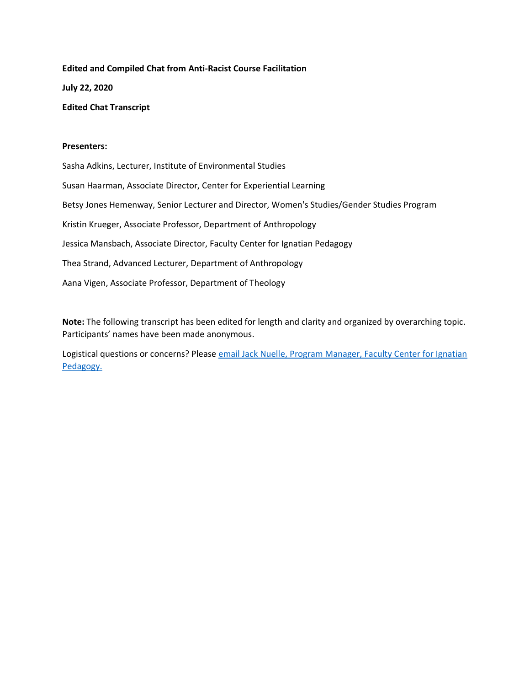**Edited and Compiled Chat from Anti-Racist Course Facilitation July 22, 2020 Edited Chat Transcript**

#### **Presenters:**

Sasha Adkins, Lecturer, Institute of Environmental Studies Susan Haarman, Associate Director, Center for Experiential Learning Betsy Jones Hemenway, Senior Lecturer and Director, Women's Studies/Gender Studies Program Kristin Krueger, Associate Professor, Department of Anthropology Jessica Mansbach, Associate Director, Faculty Center for Ignatian Pedagogy Thea Strand, Advanced Lecturer, Department of Anthropology Aana Vigen, Associate Professor, Department of Theology

**Note:** The following transcript has been edited for length and clarity and organized by overarching topic. Participants' names have been made anonymous.

Logistical questions or concerns? Please [email Jack Nuelle, Program Manager, Faculty Center for Ignatian](mailto:jnuelle@luc.edu)  [Pedagogy.](mailto:jnuelle@luc.edu)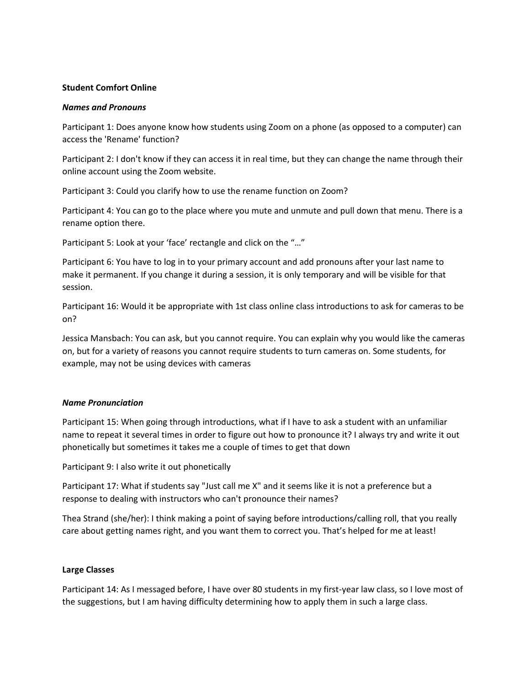### **Student Comfort Online**

#### *Names and Pronouns*

Participant 1: Does anyone know how students using Zoom on a phone (as opposed to a computer) can access the 'Rename' function?

Participant 2: I don't know if they can access it in real time, but they can change the name through their online account using the Zoom website.

Participant 3: Could you clarify how to use the rename function on Zoom?

Participant 4: You can go to the place where you mute and unmute and pull down that menu. There is a rename option there.

Participant 5: Look at your 'face' rectangle and click on the "..."

Participant 6: You have to log in to your primary account and add pronouns after your last name to make it permanent. If you change it during a session, it is only temporary and will be visible for that session.

Participant 16: Would it be appropriate with 1st class online class introductions to ask for cameras to be on?

Jessica Mansbach: You can ask, but you cannot require. You can explain why you would like the cameras on, but for a variety of reasons you cannot require students to turn cameras on. Some students, for example, may not be using devices with cameras

# *Name Pronunciation*

Participant 15: When going through introductions, what if I have to ask a student with an unfamiliar name to repeat it several times in order to figure out how to pronounce it? I always try and write it out phonetically but sometimes it takes me a couple of times to get that down

Participant 9: I also write it out phonetically

Participant 17: What if students say "Just call me X" and it seems like it is not a preference but a response to dealing with instructors who can't pronounce their names?

Thea Strand (she/her): I think making a point of saying before introductions/calling roll, that you really care about getting names right, and you want them to correct you. That's helped for me at least!

# **Large Classes**

Participant 14: As I messaged before, I have over 80 students in my first-year law class, so I love most of the suggestions, but I am having difficulty determining how to apply them in such a large class.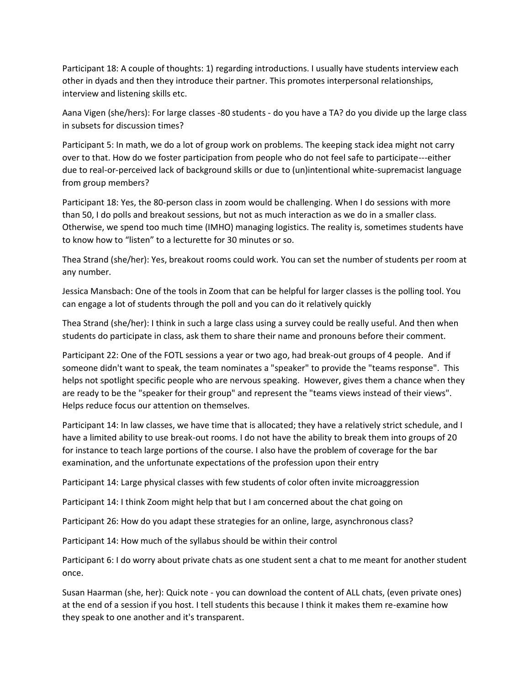Participant 18: A couple of thoughts: 1) regarding introductions. I usually have students interview each other in dyads and then they introduce their partner. This promotes interpersonal relationships, interview and listening skills etc.

Aana Vigen (she/hers): For large classes -80 students - do you have a TA? do you divide up the large class in subsets for discussion times?

Participant 5: In math, we do a lot of group work on problems. The keeping stack idea might not carry over to that. How do we foster participation from people who do not feel safe to participate---either due to real-or-perceived lack of background skills or due to (un)intentional white-supremacist language from group members?

Participant 18: Yes, the 80-person class in zoom would be challenging. When I do sessions with more than 50, I do polls and breakout sessions, but not as much interaction as we do in a smaller class. Otherwise, we spend too much time (IMHO) managing logistics. The reality is, sometimes students have to know how to "listen" to a lecturette for 30 minutes or so.

Thea Strand (she/her): Yes, breakout rooms could work. You can set the number of students per room at any number.

Jessica Mansbach: One of the tools in Zoom that can be helpful for larger classes is the polling tool. You can engage a lot of students through the poll and you can do it relatively quickly

Thea Strand (she/her): I think in such a large class using a survey could be really useful. And then when students do participate in class, ask them to share their name and pronouns before their comment.

Participant 22: One of the FOTL sessions a year or two ago, had break-out groups of 4 people. And if someone didn't want to speak, the team nominates a "speaker" to provide the "teams response". This helps not spotlight specific people who are nervous speaking. However, gives them a chance when they are ready to be the "speaker for their group" and represent the "teams views instead of their views". Helps reduce focus our attention on themselves.

Participant 14: In law classes, we have time that is allocated; they have a relatively strict schedule, and I have a limited ability to use break-out rooms. I do not have the ability to break them into groups of 20 for instance to teach large portions of the course. I also have the problem of coverage for the bar examination, and the unfortunate expectations of the profession upon their entry

Participant 14: Large physical classes with few students of color often invite microaggression

Participant 14: I think Zoom might help that but I am concerned about the chat going on

Participant 26: How do you adapt these strategies for an online, large, asynchronous class?

Participant 14: How much of the syllabus should be within their control

Participant 6: I do worry about private chats as one student sent a chat to me meant for another student once.

Susan Haarman (she, her): Quick note - you can download the content of ALL chats, (even private ones) at the end of a session if you host. I tell students this because I think it makes them re-examine how they speak to one another and it's transparent.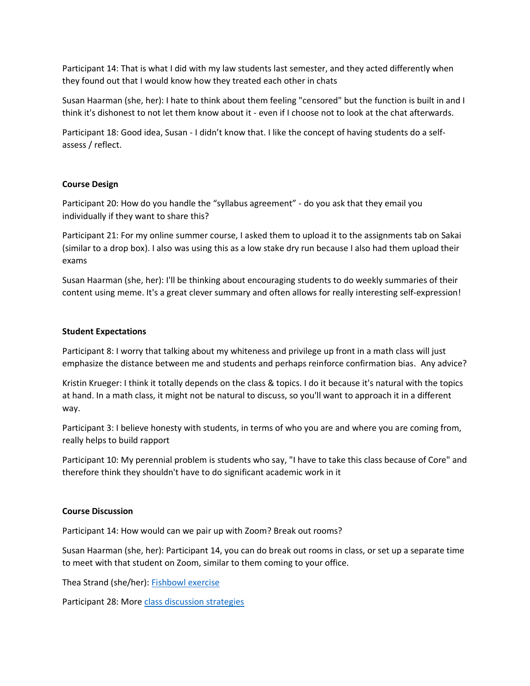Participant 14: That is what I did with my law students last semester, and they acted differently when they found out that I would know how they treated each other in chats

Susan Haarman (she, her): I hate to think about them feeling "censored" but the function is built in and I think it's dishonest to not let them know about it - even if I choose not to look at the chat afterwards.

Participant 18: Good idea, Susan - I didn't know that. I like the concept of having students do a selfassess / reflect.

# **Course Design**

Participant 20: How do you handle the "syllabus agreement" - do you ask that they email you individually if they want to share this?

Participant 21: For my online summer course, I asked them to upload it to the assignments tab on Sakai (similar to a drop box). I also was using this as a low stake dry run because I also had them upload their exams

Susan Haarman (she, her): I'll be thinking about encouraging students to do weekly summaries of their content using meme. It's a great clever summary and often allows for really interesting self-expression!

#### **Student Expectations**

Participant 8: I worry that talking about my whiteness and privilege up front in a math class will just emphasize the distance between me and students and perhaps reinforce confirmation bias. Any advice?

Kristin Krueger: I think it totally depends on the class & topics. I do it because it's natural with the topics at hand. In a math class, it might not be natural to discuss, so you'll want to approach it in a different way.

Participant 3: I believe honesty with students, in terms of who you are and where you are coming from, really helps to build rapport

Participant 10: My perennial problem is students who say, "I have to take this class because of Core" and therefore think they shouldn't have to do significant academic work in it

#### **Course Discussion**

Participant 14: How would can we pair up with Zoom? Break out rooms?

Susan Haarman (she, her): Participant 14, you can do break out rooms in class, or set up a separate time to meet with that student on Zoom, similar to them coming to your office.

Thea Strand (she/her): [Fishbowl exercise](https://sites.google.com/site/maryellendakinsclassroom/speaking-and-listening/fishbowl-discussions)

Participant 28: Mor[e class discussion strategies](https://www.cultofpedagogy.com/speaking-listening-techniques/)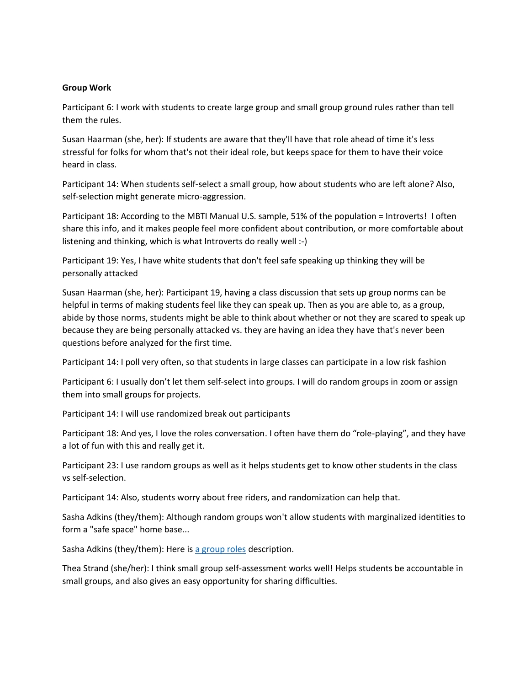# **Group Work**

Participant 6: I work with students to create large group and small group ground rules rather than tell them the rules.

Susan Haarman (she, her): If students are aware that they'll have that role ahead of time it's less stressful for folks for whom that's not their ideal role, but keeps space for them to have their voice heard in class.

Participant 14: When students self-select a small group, how about students who are left alone? Also, self-selection might generate micro-aggression.

Participant 18: According to the MBTI Manual U.S. sample, 51% of the population = Introverts! I often share this info, and it makes people feel more confident about contribution, or more comfortable about listening and thinking, which is what Introverts do really well :-)

Participant 19: Yes, I have white students that don't feel safe speaking up thinking they will be personally attacked

Susan Haarman (she, her): Participant 19, having a class discussion that sets up group norms can be helpful in terms of making students feel like they can speak up. Then as you are able to, as a group, abide by those norms, students might be able to think about whether or not they are scared to speak up because they are being personally attacked vs. they are having an idea they have that's never been questions before analyzed for the first time.

Participant 14: I poll very often, so that students in large classes can participate in a low risk fashion

Participant 6: I usually don't let them self-select into groups. I will do random groups in zoom or assign them into small groups for projects.

Participant 14: I will use randomized break out participants

Participant 18: And yes, I love the roles conversation. I often have them do "role-playing", and they have a lot of fun with this and really get it.

Participant 23: I use random groups as well as it helps students get to know other students in the class vs self-selection.

Participant 14: Also, students worry about free riders, and randomization can help that.

Sasha Adkins (they/them): Although random groups won't allow students with marginalized identities to form a "safe space" home base...

Sasha Adkins (they/them): Here is [a group roles](https://web.stanford.edu/group/resed/resed/staffresources/RM/training/grouproles.html) description.

Thea Strand (she/her): I think small group self-assessment works well! Helps students be accountable in small groups, and also gives an easy opportunity for sharing difficulties.